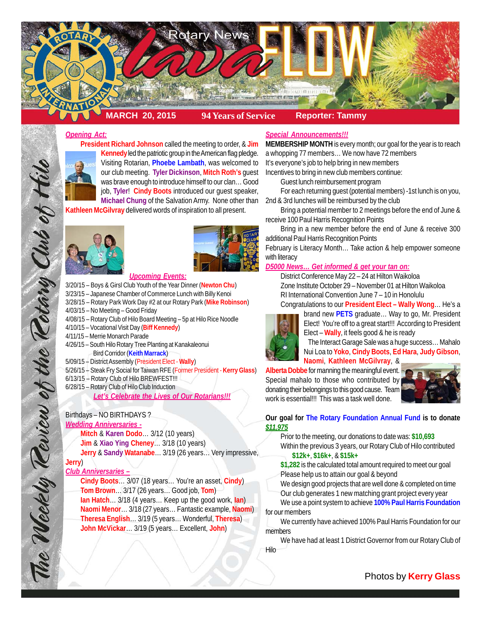

## *Opening Act:*

**President Richard Johnson** called the meeting to order, & **Jim Kennedy** led the patriotic group in the American flag pledge. Visiting Rotarian, **Phoebe Lambath**, was welcomed to our club meeting. **Tyler Dickinson**, **Mitch Roth's** guest was brave enough to introduce himself to our clan… Good

job, **Tyler**! **Cindy Boots** introduced our guest speaker, **Michael Chung** of the Salvation Army. None other than 2nd & 3rd lunches will be reimbursed by the club

**Kathleen McGilvray** delivered words of inspiration to all present.





### *Upcoming Events:*

3/20/15 – Boys & Girsl Club Youth of the Year Dinner (**Newton Chu**)

3/23/15 – Japanese Chamber of Commerce Lunch with Billy Kenoi

3/28/15 – Rotary Park Work Day #2 at our Rotary Park (**Mike Robinson**)

- 4/03/15 No Meeting Good Friday
- 4/08/15 Rotary Club of Hilo Board Meeting 5p at Hilo Rice Noodle
- 4/10/15 Vocational Visit Day (**Biff Kennedy**)
- 4/11/15 Merrie Monarch Parade
- 4/26/15 South Hilo Rotary Tree Planting at Kanakaleonui Bird Corridor (**Keith Marrack**)
- 5/09/15 District Assembly (President Elect **Wally**)
- 5/26/15 Steak Fry Social for Taiwan RFE (Former President **Kerry Glass**)
- 6/13/15 Rotary Club of Hilo BREWFEST!!!
- 6/28/15 Rotary Club of Hilo Club Induction

*Let's Celebrate the Lives of Our Rotarians!!!*

# Birthdays – NO BIRTHDAYS ?

# *Wedding Anniversaries -*

**Mitch** & **Karen Dodo**… 3/12 (10 years)

**Jim** & **Xiao Ying Cheney**… 3/18 (10 years)

**Jerry** & **Sandy Watanabe**… 3/19 (26 years… Very impressive,

# **Jerry**)

The Weekly Teview of the Tetary Club of Hil

# *Club Anniversaries –*

**Cindy Boots**… 3/07 (18 years… You're an asset, **Cindy**) **Tom Brown**… 3/17 (26 years… Good job, **Tom**) **Ian Hatch**… 3/18 (4 years… Keep up the good work, **Ian**) **Naomi Menor**… 3/18 (27 years… Fantastic example, **Naomi**) **Theresa English**… 3/19 (5 years… Wonderful, **Theresa**) **John McVickar**… 3/19 (5 years… Excellent, **John**)

### *Special Announcements!!!*

**MEMBERSHIP MONTH** is every month; our goal for the year is to reach a whopping 77 members… We now have 72 members It's everyone's job to help bring in new members

Incentives to bring in new club members continue:

Guest lunch reimbursement program

For each returning guest (potential members) -1st lunch is on you,

Bring a potential member to 2 meetings before the end of June & receive 100 Paul Harris Recognition Points

Bring in a new member before the end of June & receive 300 additional Paul Harris Recognition Points

February is Literacy Month… Take action & help empower someone with literacy

### *D5000 News… Get informed & get your tan on:*

District Conference May 22 – 24 at Hilton Waikoloa Zone Institute October 29 – November 01 at Hilton Waikoloa RI International Convention June 7 – 10 in Honolulu Congratulations to our **President Elect – Wally Wong**… He's a



brand new **PETS** graduate… Way to go, Mr. President Elect! You're off to a great start!!! According to President Elect – **Wally**, it feels good & he is ready

The Interact Garage Sale was a huge success… Mahalo Nui Loa to **Yoko**, **Cindy Boots**, **Ed Hara**, **Judy Gibson**, **Naomi**, **Kathleen McGilvray**, &

**Alberta Dobbe** for manning the meaningful event. Special mahalo to those who contributed by donating their belongings to this good cause. Team work is essential!!! This was a task well done.



# **Our goal for The Rotary Foundation Annual Fund is to donate** *\$11,975*

Prior to the meeting, our donations to date was: **\$10,693** Within the previous 3 years, our Rotary Club of Hilo contributed **\$12k+**, **\$16k+**, & **\$15k+**

**\$1,282** is the calculated total amount required to meet our goal Please help us to attain our goal & beyond

We design good projects that are well done & completed on time Our club generates 1 new matching grant project every year

We use a point system to achieve **100% Paul Harris Foundation** for our members

We currently have achieved 100% Paul Harris Foundation for our members

We have had at least 1 District Governor from our Rotary Club of Hilo

Photos by **Kerry Glass**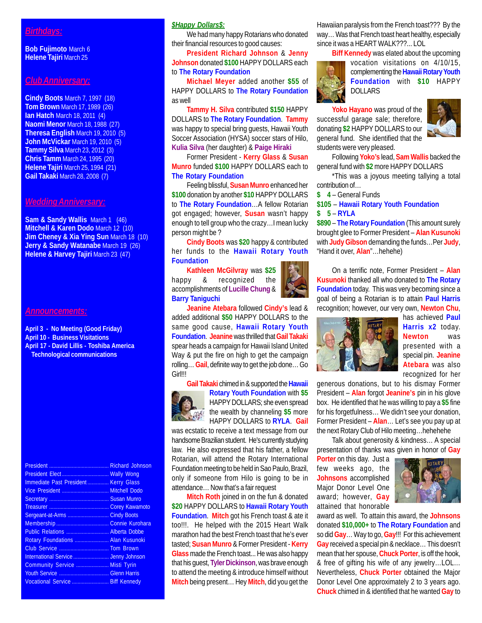## *Birthdays:*

**Bob Fujimoto** March 6 **Helene Tajiri** March 25

## *Club Anniversary:*

**Cindy Boots** March 7, 1997 (18) **Tom Brown** March 17, 1989 (26) **Ian Hatch** March 18, 2011 (4) **Naomi Menor** March 18, 1988 (27) **Theresa English** March 19, 2010 (5) **John McVickar** March 19, 2010 (5) **Tammy Silva** March 23, 2012 (3) **Chris Tamm** March 24, 1995 (20) **Helene Tajiri** March 25, 1994 (21) **Gail Takaki** March 28, 2008 (7)

#### *Wedding Anniversary:*

**Sam & Sandy Wallis** March 1 (46) **Mitchell & Karen Dodo** March 12 (10) **Jim Cheney & Xia Ying Sun** March 18 (10) **Jerry & Sandy Watanabe** March 19 (26) **Helene & Harvey Tajiri** March 23 (47)

#### *Announcements:*

**April 3 - No Meeting (Good Friday) April 10 - Business Visitations April 17 - David Lillis - Toshiba America Technological communications**

|                                      | Richard Johnson |
|--------------------------------------|-----------------|
|                                      |                 |
| Immediate Past President Kerry Glass |                 |
|                                      |                 |
|                                      |                 |
|                                      |                 |
| Sergeant-at-Arms  Cindy Boots        |                 |
|                                      |                 |
| Public Relations  Alberta Dobbe      |                 |
| Rotary Foundations  Alan Kusunoki    |                 |
|                                      |                 |
|                                      |                 |
| Community Service  Misti Tyrin       |                 |
|                                      |                 |
| Vocational Service  Biff Kennedy     |                 |
|                                      |                 |

### *\$Happy Dollars\$:*

We had many happy Rotarians who donated their financial resources to good causes:

**President Richard Johnson** & **Jenny Johnson** donated **\$100** HAPPY DOLLARS each to **The Rotary Foundation**

**Michael Meyer** added another **\$55** of HAPPY DOLLARS to **The Rotary Foundation** as well

**Tammy H. Silva** contributed **\$150** HAPPY DOLLARS to **The Rotary Foundation**. **Tammy** was happy to special bring guests, Hawaii Youth Soccer Association (HYSA) soccer stars of Hilo, **Kulia Silva** (her daughter) & **Paige Hiraki**

Former President - **Kerry Glass** & **Susan Munro** funded **\$100** HAPPY DOLLARS each to **The Rotary Foundation**

Feeling blissful, **Susan Munro** enhanced her **\$100** donation by another **\$10** HAPPY DOLLARS to **The Rotary Foundation**…A fellow Rotarian got engaged; however, **Susan** wasn't happy enough to tell group who the crazy…I mean lucky person might be ?

**Cindy Boots** was **\$20** happy & contributed her funds to the **Hawaii Rotary Youth Foundation**

**Kathleen McGilvray** was **\$25** happy & recognized the accomplishments of **Lucille Chung** & **Barry Taniguchi**



**Jeanine Atebara** followed **Cindy's** lead & added additional **\$50** HAPPY DOLLARS to the same good cause, **Hawaii Rotary Youth Foundation**. **Jeanine** was thrilled that **Gail Takaki** spear heads a campaign for Hawaii Island United Way & put the fire on high to get the campaign rolling… **Gail**, definite way to get the job done… Go Girl!!!

**Gail Takaki** chimed in & supported the **Hawaii**



**Rotary Youth Foundation** with **\$5** HAPPY DOLLARS; she even spread the wealth by channeling **\$5** more HAPPY DOLLARS to **RYLA**. **Gail**

was ecstatic to receive a text message from our handsome Brazilian student. He's currently studying law. He also expressed that his father, a fellow Rotarian, will attend the Rotary International Foundation meeting to be held in Sao Paulo, Brazil, only if someone from Hilo is going to be in attendance… Now that's a fair request

**Mitch Roth** joined in on the fun & donated **\$20** HAPPY DOLLARS to **Hawaii Rotary Youth Foundation**. **Mitch** got his French toast & ate it too!!!. He helped with the 2015 Heart Walk marathon had the best French toast that he's ever tasted; **Susan Munro** & Former President - **Kerry Glass** made the French toast... He was also happy that his guest, **Tyler Dickinson**, was brave enough to attend the meeting & introduce himself without **Mitch** being present… Hey **Mitch**, did you get the

Hawaiian paralysis from the French toast??? By the way… Was that French toast heart healthy, especially since it was a HEART WALK???... LOL

**Biff Kennedy** was elated about the upcoming



vocation visitations on 4/10/15, complementing the **Hawaii Rotary Youth Foundation** with **\$10** HAPPY DOLLARS

**Yoko Hayano** was proud of the successful garage sale; therefore, donating **\$2** HAPPY DOLLARS to our general fund. She identified that the students were very pleased.



Following **Yoko's** lead, **Sam Wallis** backed the general fund with **\$2** more HAPPY DOLLARS

\*This was a joyous meeting tallying a total contribution of…

**\$ 4** – General Funds

**\$105** – **Hawaii Rotary Youth Foundation \$ 5** – **RYLA**

**\$890** – **The Rotary Foundation** (This amount surely brought glee to Former President – **Alan Kusunoki** with **Judy Gibson** demanding the funds…Per **Judy**, "Hand it over, **Alan**"…hehehe)

On a terrific note, Former President – **Alan Kusunoki** thanked all who donated to **The Rotary Foundation** today. This was very becoming since a goal of being a Rotarian is to attain **Paul Harris** recognition; however, our very own, **Newton Chu**,



has achieved **Paul Harris x2** today. **Newton** was presented with a special pin. **Jeanine Atebara** was also recognized for her

generous donations, but to his dismay Former President – **Alan** forgot **Jeanine's** pin in his glove box. He identified that he was willing to pay a **\$5** fine for his forgetfulness… We didn't see your donation, Former President – **Alan**… Let's see you pay up at the next Rotary Club of Hilo meeting…hehehehe

Talk about generosity & kindness… A special presentation of thanks was given in honor of **Gay**

**Porter** on this day. Just a few weeks ago, the **Johnsons** accomplished Major Donor Level One award; however, **Gay** attained that honorable



award as well. To attain this award, the **Johnsons** donated **\$10,000+** to **The Rotary Foundation** and so did **Gay**… Way to go, **Gay**!!! For this achievement **Gay** received a special pin & necklace… This doesn't mean that her spouse, **Chuck Porter**, is off the hook, & free of gifting his wife of any jewelry…LOL… Nevertheless, **Chuck Porter** obtained the Major Donor Level One approximately 2 to 3 years ago. **Chuck** chimed in & identified that he wanted **Gay** to